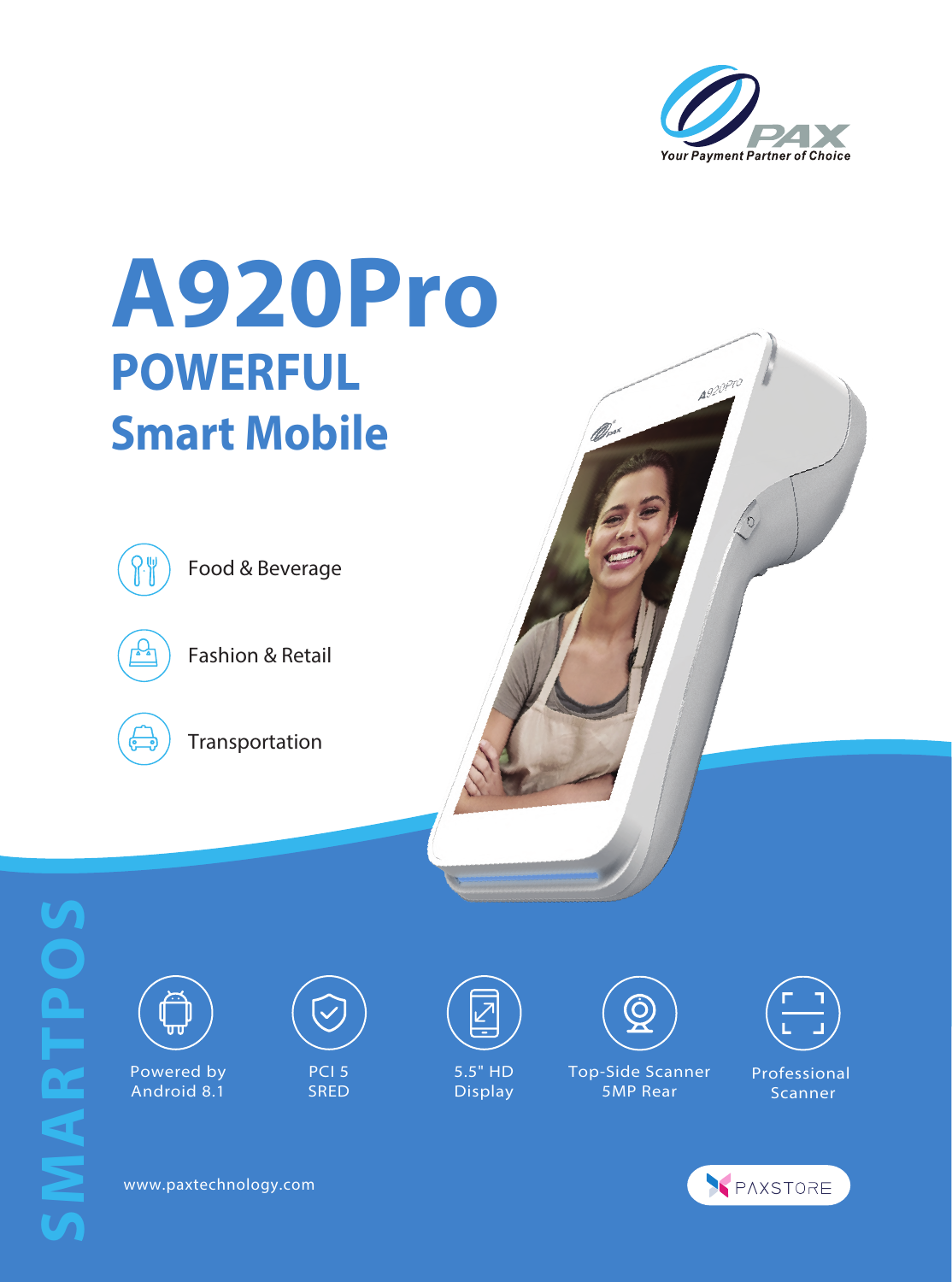

A920 Pro

## **A920Pro POWERFUL Smart Mobile**



Food & Beverage



Fashion & Retail



Transportation





Android 8.1



 PCI 5 **SRED** 



 5.5" HD Display









www.paxtechnology.com